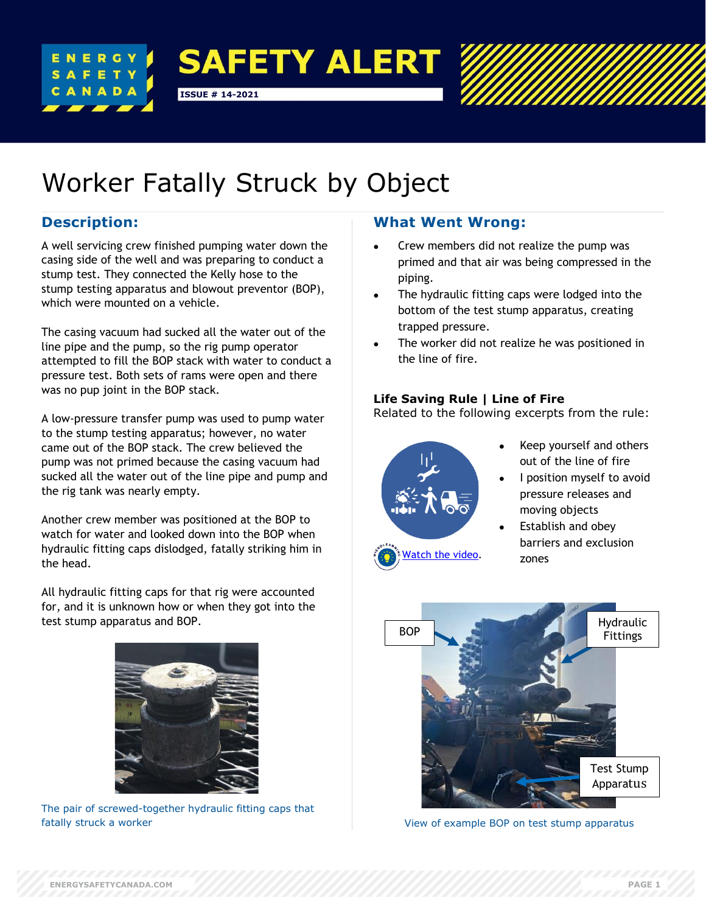



# Worker Fatally Struck by Object

# **Description:**

A well servicing crew finished pumping water down the casing side of the well and was preparing to conduct a stump test. They connected the Kelly hose to the stump testing apparatus and blowout preventor (BOP), which were mounted on a vehicle.

The casing vacuum had sucked all the water out of the line pipe and the pump, so the rig pump operator attempted to fill the BOP stack with water to conduct a pressure test. Both sets of rams were open and there was no pup joint in the BOP stack.

A low-pressure transfer pump was used to pump water to the stump testing apparatus; however, no water came out of the BOP stack. The crew believed the pump was not primed because the casing vacuum had sucked all the water out of the line pipe and pump and the rig tank was nearly empty.

Another crew member was positioned at the BOP to watch for water and looked down into the BOP when hydraulic fitting caps dislodged, fatally striking him in the head.

All hydraulic fitting caps for that rig were accounted for, and it is unknown how or when they got into the test stump apparatus and BOP.



The pair of screwed-together hydraulic fitting caps that fatally struck a worker

## **What Went Wrong:**

- Crew members did not realize the pump was primed and that air was being compressed in the piping.
- The hydraulic fitting caps were lodged into the bottom of the test stump apparatus, creating trapped pressure.
- The worker did not realize he was positioned in the line of fire.

## **Life Saving Rule | Line of Fire**

Related to the following excerpts from the rule:



- Keep yourself and others out of the line of fire
- I position myself to avoid pressure releases and moving objects
- Establish and obey barriers and exclusion zones



View of example BOP on test stump apparatus